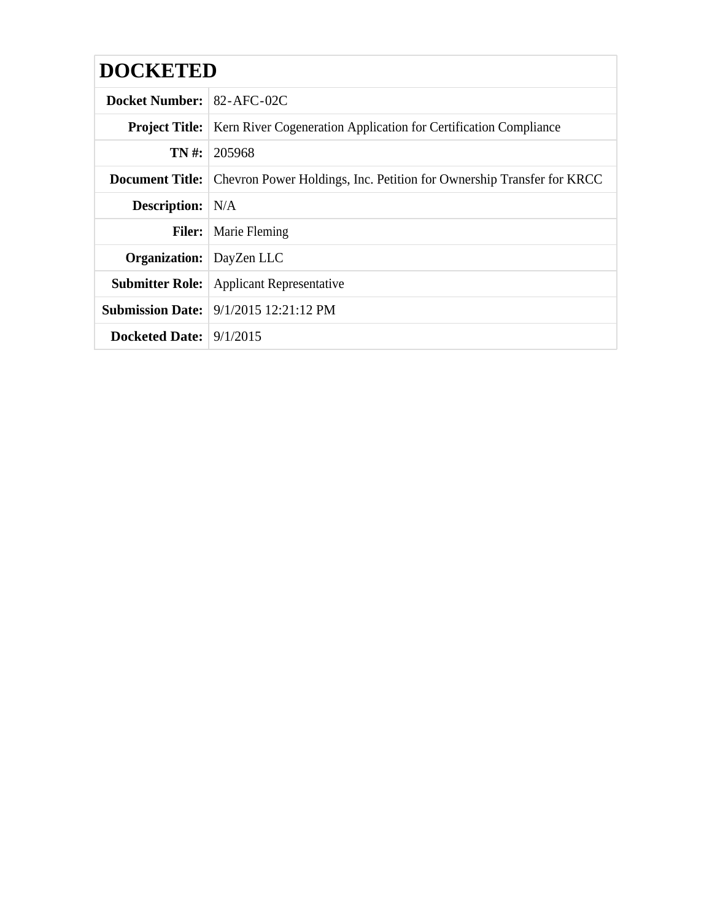| <b>DOCKETED</b>                 |                                                                                              |
|---------------------------------|----------------------------------------------------------------------------------------------|
| Docket Number: 82-AFC-02C       |                                                                                              |
|                                 | <b>Project Title:</b>   Kern River Cogeneration Application for Certification Compliance     |
|                                 | $TN \#: 205968$                                                                              |
|                                 | <b>Document Title:</b> Chevron Power Holdings, Inc. Petition for Ownership Transfer for KRCC |
| <b>Description:</b> N/A         |                                                                                              |
| <b>Filer:</b>                   | <b>Marie Fleming</b>                                                                         |
| <b>Organization:</b> DayZen LLC |                                                                                              |
|                                 | <b>Submitter Role:</b> Applicant Representative                                              |
|                                 | <b>Submission Date:</b> 9/1/2015 12:21:12 PM                                                 |
| Docketed Date: $9/1/2015$       |                                                                                              |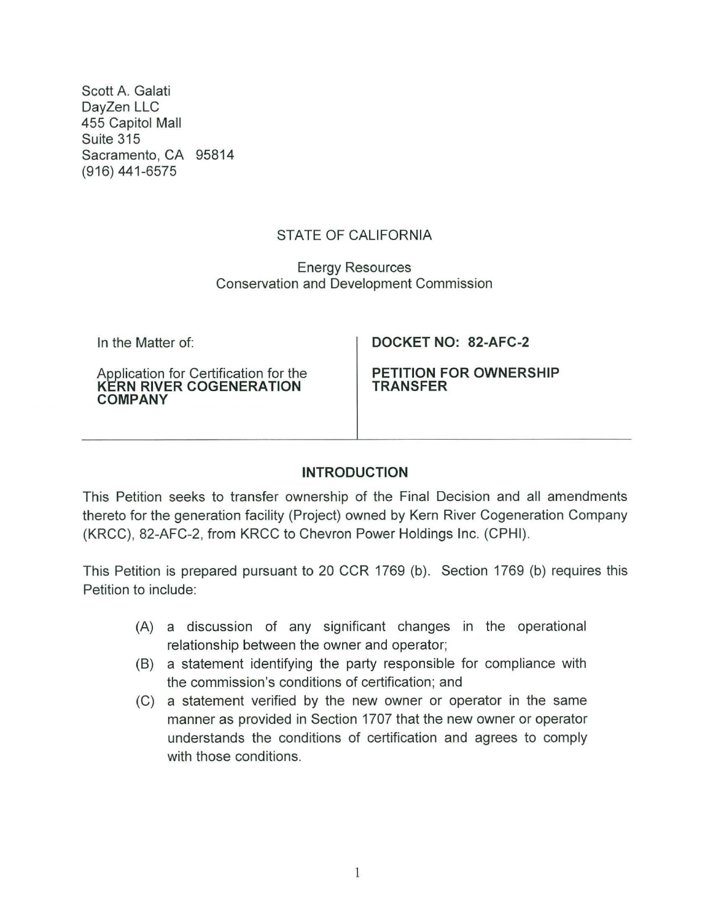Scott A. Galati DayZen LLC 455 Capitol Mall Suite 315 Sacramento, CA 95814 (916) 441-6575

# STATE OF CALIFORNIA

Energy Resources Conservation and Development Commission

In the Matter of:

Application for Certification for the **KERN RIVER COGENERATION COMPANY** 

**DOCKET NO: 82-AFC-2** 

**PETITION FOR OWNERSHIP TRANSFER** 

## **INTRODUCTION**

This Petition seeks to transfer ownership of the Final Decision and all amendments thereto for the generation facility (Project) owned by Kern River Cogeneration Company (KRCC), 82-AFC-2, from KRCC to Chevron Power Holdings Inc. (CPHI).

This Petition is prepared pursuant to 20 CCR 1769 (b). Section 1769 (b) requires this Petition to include:

- (A) a discussion of any significant changes in the operational relationship between the owner and operator;
- (B) a statement identifying the party responsible for compliance with the commission's conditions of certification; and
- (C) a statement verified by the new owner or operator in the same manner as provided in Section 1707 that the new owner or operator understands the conditions of certification and agrees to comply with those conditions.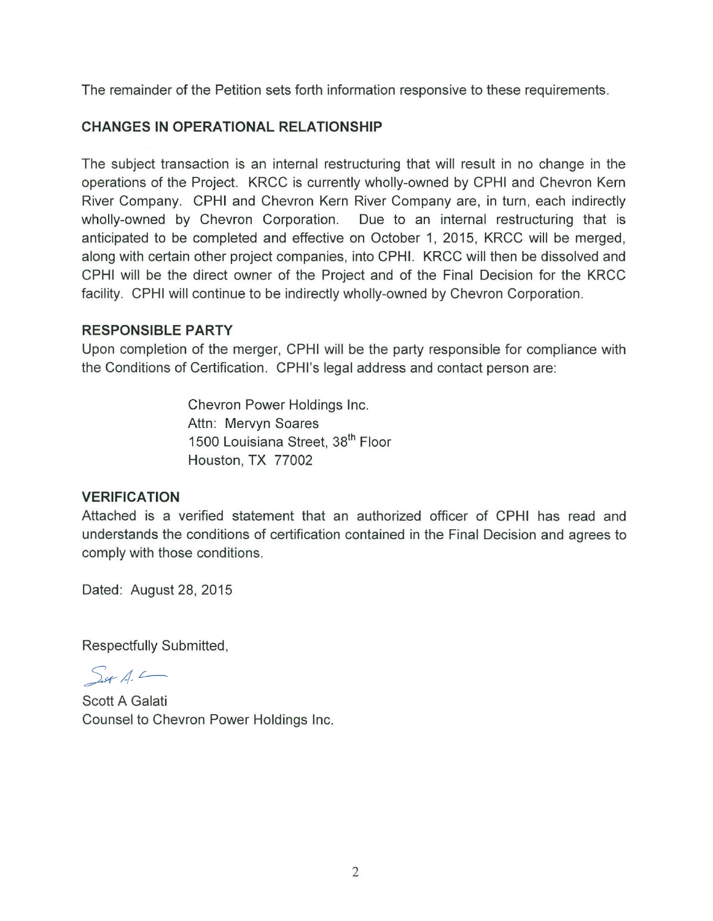The remainder of the Petition sets forth information responsive to these requirements.

## **CHANGES IN OPERATIONAL RELATIONSHIP**

The subject transaction is an internal restructuring that will result in no change in the operations of the Project. KRCC is currently wholly-owned by CPHI and Chevron Kern River Company. CPHI and Chevron Kern River Company are, in turn, each indirectly wholly-owned by Chevron Corporation. Due to an internal restructuring that is anticipated to be completed and effective on October 1, 2015, KRCC will be merged, along with certain other project companies, into CPHI. KRCC will then be dissolved and CPHI will be the direct owner of the Project and of the Final Decision for the KRCC facility. CPHI will continue to be indirectly wholly-owned by Chevron Corporation.

#### **RESPONSIBLE PARTY**

Upon completion of the merger, CPHI will be the party responsible for compliance with the Conditions of Certification. CPHI's legal address and contact person are:

> Chevron Power Holdings Inc. Attn: Mervyn Soares 1500 Louisiana Street, 38<sup>th</sup> Floor Houston, TX 77002

### **VERIFICATION**

Attached is a verified statement that an authorized officer of CPHI has read and understands the conditions of certification contained in the Final Decision and agrees to comply with those conditions.

Dated: August 28, 2015

Respectfully Submitted,

 $S_{\mathscr{A}}$  A.

Scott A Galati Counsel to Chevron Power Holdings Inc.